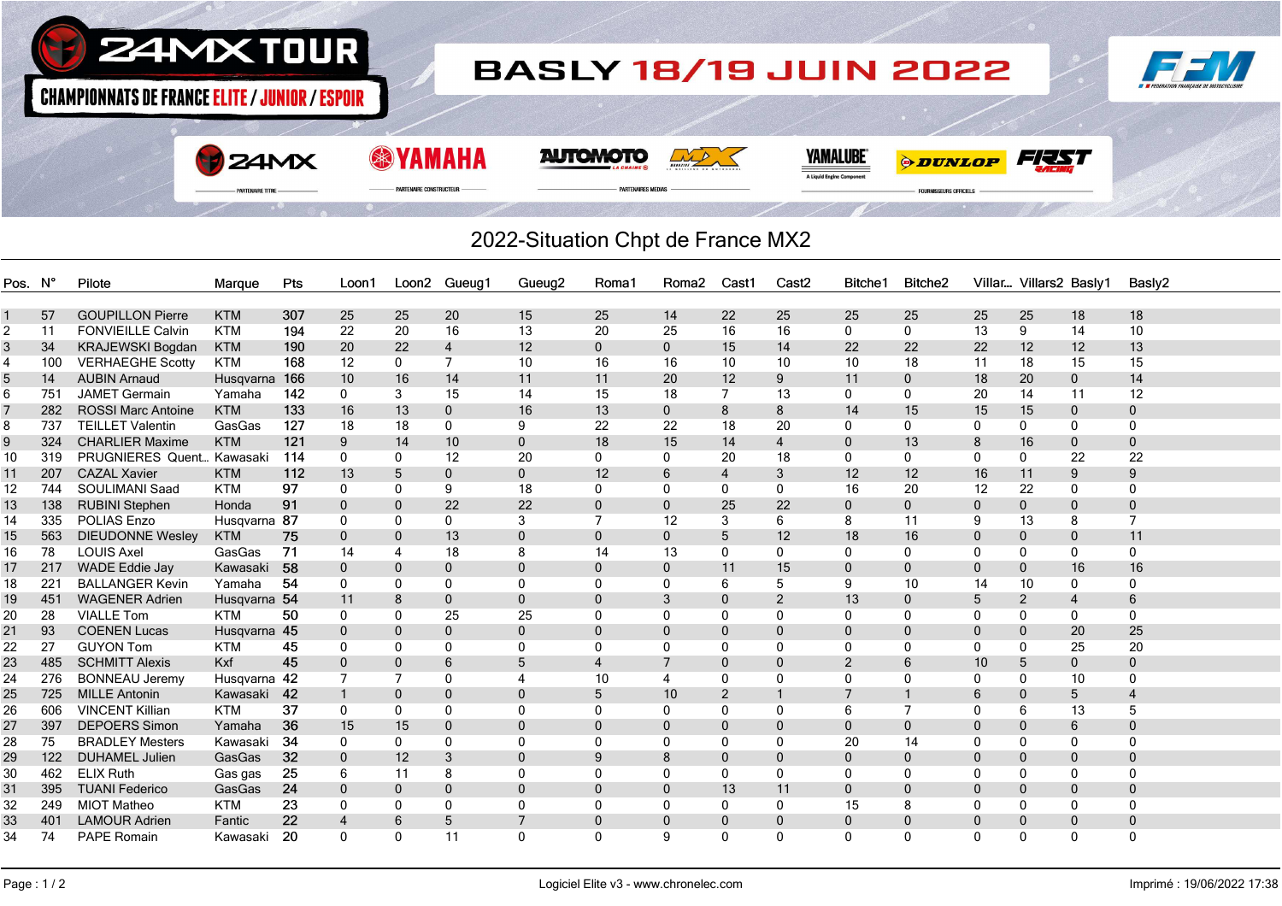

## 2022-Situation Chpt de France MX2

| <b>GOUPILLON Pierre</b><br>25<br>20<br>25<br>14<br>22<br>25<br>25<br>25<br>25<br>18<br>57<br><b>KTM</b><br>307<br>25<br>15<br>25<br>18<br>10<br>22<br>16<br><b>FONVIEILLE Calvin</b><br><b>KTM</b><br>194<br>20<br>16<br>13<br>20<br>25<br>16<br>$\mathbf 0$<br>13<br>9<br>14<br>2<br>11<br>$\mathbf{0}$<br>190<br>$\overline{4}$<br>12<br>14<br>22<br>22<br>13<br>34<br>KRAJEWSKI Bogdan<br><b>KTM</b><br>20<br>22<br>$\mathbf{0}$<br>$\mathbf{0}$<br>15<br>22<br>12<br>12<br>3<br>15<br>$\overline{7}$<br>10<br>10 <sup>1</sup><br>100<br><b>VERHAEGHE Scotty</b><br><b>KTM</b><br>168<br>12<br>$\mathbf{0}$<br>10<br>16<br>16<br>10<br>18<br>18<br>15<br>11<br>4<br>14<br>166<br>12<br>9<br>11<br>20<br>14<br><b>AUBIN Arnaud</b><br>10<br>16<br>14<br>11<br>11<br>20<br>$\mathbf 0$<br>18<br>$\mathbf{0}$<br>5<br>Husqvarna<br><b>JAMET Germain</b><br>142<br>14<br>13<br>12<br>751<br>Yamaha<br>$\mathbf 0$<br>3<br>15<br>15<br>18<br>$\overline{7}$<br>0<br>$\mathbf{0}$<br>20<br>14<br>11<br>6<br>133<br>16<br>$\mathbf 0$<br>16<br>13<br>8<br>8<br>14<br>15<br>15<br>282<br><b>ROSSI Marc Antoine</b><br><b>KTM</b><br>13<br>$\mathbf{0}$<br>15<br>$\mathbf{0}$<br>$\mathbf 0$<br>127<br>20<br>737<br><b>TEILLET Valentin</b><br>GasGas<br>18<br>18<br>0<br>9<br>22<br>22<br>18<br>$\Omega$<br>$\mathbf{0}$<br>0<br>0<br>0<br>0<br>8<br><b>CHARLIER Maxime</b><br>121<br>18<br>15<br><b>KTM</b><br>9<br>10<br>$\mathbf{0}$<br>14<br>$\overline{4}$<br>13<br>16<br>$\mathbf 0$<br>324<br>14<br>0<br>8<br>$\mathbf 0$<br>9<br>PRUGNIERES Quent<br>18<br>22<br>319<br>Kawasaki<br>114<br>0<br>12<br>20<br>$\mathbf{0}$<br>0<br>20<br>$\Omega$<br>0<br>$\mathbf{0}$<br>0<br>22<br>10<br>$\Omega$<br><b>CAZAL Xavier</b><br>112<br>$\mathbf{0}$<br>$\mathbf{0}$<br>12<br>3<br>12<br>12<br>11<br>9<br>207<br><b>KTM</b><br>13<br>5<br>6<br>$\overline{4}$<br>16<br>9<br>11<br>97<br>12<br><b>SOULIMANI Saad</b><br><b>KTM</b><br>18<br>16<br>22<br>744<br>$\Omega$<br>9<br>$\Omega$<br>0<br>$\mathbf{0}$<br>$\Omega$<br>20<br>12<br>0<br>$\mathbf 0$<br>0<br>22<br>138<br><b>RUBINI Stephen</b><br>91<br>22<br>25<br>22<br>$\Omega$<br>$\mathbf 0$<br>13<br>$\mathbf{0}$<br>$\Omega$<br>$\mathbf{0}$<br>$\mathbf{0}$<br>0<br>$\mathbf{0}$<br>$\Omega$<br>$\mathbf 0$<br>Honda<br>335<br><b>POLIAS Enzo</b><br>Husqvarna 87<br>3<br>7<br>6<br>8<br>11<br>7<br>14<br>$\mathbf{0}$<br>0<br>12<br>3<br>9<br>13<br>8<br>0<br>75<br>5<br>12<br>11<br>563<br><b>DIEUDONNE Wesley</b><br>$\mathbf{0}$<br>13<br>$\mathbf{0}$<br>$\mathbf{0}$<br>18<br>16<br>15<br><b>KTM</b><br>$\mathbf 0$<br>$\mathbf{0}$<br>0<br>$\mathbf 0$<br>$\mathbf{0}$<br>78<br><b>LOUIS Axel</b><br>71<br>8<br>14<br>0<br>16<br>GasGas<br>14<br>18<br>13<br>0<br>$\mathbf{0}$<br>$\Omega$<br>0<br>0<br>0<br>0<br>4<br>15<br>16<br>17<br>217<br>WADE Eddie Jay<br>58<br>$\mathbf 0$<br>$\mathbf 0$<br>11<br>0<br>$\mathbf 0$<br>16<br>Kawasaki<br>$\mathbf 0$<br>$\mathbf 0$<br>$\mathbf 0$<br>$\mathbf 0$<br>0<br>$\mathbf 0$<br>54<br><b>BALLANGER Kevin</b><br>18<br>221<br>Yamaha<br>0<br>0<br>$\mathbf{0}$<br>$\mathbf{0}$<br>6<br>5<br>9<br>10<br>10<br>$\mathbf{0}$<br>0<br>$\Omega$<br>0<br>14<br><b>WAGENER Adrien</b><br>Husqvarna 54<br>$\mathbf 0$<br>$\mathbf 0$<br>$\mathbf 0$<br>2<br>13<br>$\overline{2}$<br>6<br>19<br>451<br>8<br>$\mathbf{0}$<br>3<br>$\mathbf 0$<br>5<br>$\overline{4}$<br>11<br><b>VIALLE Tom</b><br>25<br>50<br>25<br>$\mathbf 0$<br>20<br>28<br><b>KTM</b><br>0<br>$\mathbf{0}$<br>$\mathbf{0}$<br>$\mathbf{0}$<br>$\Omega$<br>0<br>$\mathbf{0}$<br>$\mathbf{0}$<br>$\mathbf{0}$<br>$\mathbf{0}$<br>0<br>$\mathbf 0$<br>25<br>93<br><b>COENEN Lucas</b><br>$\mathbf{0}$<br>$\mathbf{0}$<br>20<br>Husgvarna 45<br>$\mathbf 0$<br>$\mathbf 0$<br>$\mathbf 0$<br>0<br>$\mathbf 0$<br>$\mathbf 0$<br>21<br>$\mathbf 0$<br>0<br>0<br>20<br>22<br>27<br><b>GUYON Tom</b><br>0<br>$\mathbf{0}$<br>$\mathbf{0}$<br>0<br>25<br><b>KTM</b><br>45<br>0<br>0<br>0<br>0<br>$\Omega$<br>0<br>0<br>0<br>Kxf<br>45<br>485<br><b>SCHMITT Alexis</b><br>$\mathbf 0$<br>6<br>5<br>$\overline{4}$<br>7<br>2<br>5<br>$\mathbf{0}$<br>23<br>$\mathbf 0$<br>$\mathbf 0$<br>$\mathbf 0$<br>6<br>10<br>$\mathbf{0}$<br>Husqvarna 42<br>$\overline{7}$<br>0<br>10<br>10<br>$\mathbf 0$<br>24<br>276<br><b>BONNEAU Jeremy</b><br>$\overline{7}$<br>$\overline{4}$<br>4<br>0<br>$\mathbf{0}$<br>$\mathbf{0}$<br>0<br>$\Omega$<br>0<br>$\overline{2}$<br>25<br>725<br><b>MILLE Antonin</b><br>Kawasaki 42<br>$\mathbf{1}$<br>$\mathbf 0$<br>$\mathbf{0}$<br>5<br>10<br>5<br>$\Omega$<br>6<br>$\mathbf 0$<br>4<br>37<br>606<br><b>VINCENT Killian</b><br>$\overline{7}$<br>13<br>5<br>26<br><b>KTM</b><br>$\mathbf{0}$<br>$\mathbf{0}$<br>$\mathbf{0}$<br>$\mathbf{0}$<br>$\mathbf{0}$<br>$\mathbf{0}$<br>$\mathbf{0}$<br>$\Omega$<br>6<br>$\mathbf{0}$<br>6<br>36<br>397<br><b>DEPOERS Simon</b><br>15<br>15<br>$\Omega$<br>27<br>Yamaha<br>$\Omega$<br>$\Omega$<br>$\Omega$<br>$\Omega$<br>$\Omega$<br>$\mathbf{0}$<br>$\mathbf{0}$<br>$\mathbf 0$<br>6<br>$\mathbf{0}$<br>$\theta$<br>-34<br>20<br>75<br><b>BRADLEY Mesters</b><br>0<br>14<br>28<br>Kawasaki<br>0<br>0<br>$\Omega$<br>$\Omega$<br>0<br>$\mathbf{0}$<br>$\Omega$<br>$\Omega$<br>0<br>0<br>$\Omega$<br>32<br>29<br>122<br><b>DUHAMEL Julien</b><br>GasGas<br>$\mathbf{0}$<br>12<br>3<br>$\Omega$<br>9<br>8<br>$\mathbf{0}$<br>$\Omega$<br>$\mathbf{0}$<br>$\Omega$<br>$\Omega$<br>$\mathbf 0$<br>$\Omega$<br>$\mathbf{0}$<br>25<br>462<br><b>ELIX Ruth</b><br>6<br>8<br>$\mathbf{0}$<br>30<br>Gas gas<br>11<br>$\Omega$<br>$\Omega$<br>0<br>$\Omega$<br>$\Omega$<br>$\mathbf{0}$<br>$\Omega$<br>0<br>$\Omega$<br>0<br>24<br>13<br>395<br><b>TUANI Federico</b><br>GasGas<br>$\mathbf{0}$<br>$\mathbf{0}$<br>$\Omega$<br>$\Omega$<br>11<br>$\mathbf 0$<br>31<br>$\mathbf{0}$<br>$\Omega$<br>0<br>$\mathbf{0}$<br>$\Omega$<br>$\mathbf{0}$<br>$\Omega$<br>15<br>32<br>249<br><b>MIOT Matheo</b><br><b>KTM</b><br>23<br>$\Omega$<br>$\mathbf{0}$<br>$\mathbf{0}$<br>$\Omega$<br>$\Omega$<br>$\Omega$<br>$\mathbf{0}$<br>$\Omega$<br>$\mathbf{0}$<br>8<br>$\mathbf{0}$<br>$\mathbf{0}$<br>0 | Pos. N° | Pilote | Marque | Pts | Loon 1 | Loon2 Gueug1 | Gueug <sub>2</sub> | Roma1 | Roma2 | Cast1 | Cast <sub>2</sub> | Bitche1 | Bitche <sub>2</sub> | Villar Villars2 Baslv1 | Basly2 |
|-------------------------------------------------------------------------------------------------------------------------------------------------------------------------------------------------------------------------------------------------------------------------------------------------------------------------------------------------------------------------------------------------------------------------------------------------------------------------------------------------------------------------------------------------------------------------------------------------------------------------------------------------------------------------------------------------------------------------------------------------------------------------------------------------------------------------------------------------------------------------------------------------------------------------------------------------------------------------------------------------------------------------------------------------------------------------------------------------------------------------------------------------------------------------------------------------------------------------------------------------------------------------------------------------------------------------------------------------------------------------------------------------------------------------------------------------------------------------------------------------------------------------------------------------------------------------------------------------------------------------------------------------------------------------------------------------------------------------------------------------------------------------------------------------------------------------------------------------------------------------------------------------------------------------------------------------------------------------------------------------------------------------------------------------------------------------------------------------------------------------------------------------------------------------------------------------------------------------------------------------------------------------------------------------------------------------------------------------------------------------------------------------------------------------------------------------------------------------------------------------------------------------------------------------------------------------------------------------------------------------------------------------------------------------------------------------------------------------------------------------------------------------------------------------------------------------------------------------------------------------------------------------------------------------------------------------------------------------------------------------------------------------------------------------------------------------------------------------------------------------------------------------------------------------------------------------------------------------------------------------------------------------------------------------------------------------------------------------------------------------------------------------------------------------------------------------------------------------------------------------------------------------------------------------------------------------------------------------------------------------------------------------------------------------------------------------------------------------------------------------------------------------------------------------------------------------------------------------------------------------------------------------------------------------------------------------------------------------------------------------------------------------------------------------------------------------------------------------------------------------------------------------------------------------------------------------------------------------------------------------------------------------------------------------------------------------------------------------------------------------------------------------------------------------------------------------------------------------------------------------------------------------------------------------------------------------------------------------------------------------------------------------------------------------------------------------------------------------------------------------------------------------------------------------------------------------------------------------------------------------------------------------------------------------------------------------------------------------------------------------------------------------------------------------------------------------------------------------------------------------------------------------------------------------------------------------------------------------------------------------------------------------------------------------------------------------------------------------------------------------------------------------------------------------------------------------------------------------------------------------------------------------------------------------------------------------------------------------------------------------------------------------------------------------------------------------------------------------------------------------------------------------------------------------------------------------------------------------------------------------------------------------------------------------------------------------------------------------------------------------------------------------------------------------------------------------------------------------------------------------------------|---------|--------|--------|-----|--------|--------------|--------------------|-------|-------|-------|-------------------|---------|---------------------|------------------------|--------|
|                                                                                                                                                                                                                                                                                                                                                                                                                                                                                                                                                                                                                                                                                                                                                                                                                                                                                                                                                                                                                                                                                                                                                                                                                                                                                                                                                                                                                                                                                                                                                                                                                                                                                                                                                                                                                                                                                                                                                                                                                                                                                                                                                                                                                                                                                                                                                                                                                                                                                                                                                                                                                                                                                                                                                                                                                                                                                                                                                                                                                                                                                                                                                                                                                                                                                                                                                                                                                                                                                                                                                                                                                                                                                                                                                                                                                                                                                                                                                                                                                                                                                                                                                                                                                                                                                                                                                                                                                                                                                                                                                                                                                                                                                                                                                                                                                                                                                                                                                                                                                                                                                                                                                                                                                                                                                                                                                                                                                                                                                                                                                                                                                                                                                                                                                                                                                                                                                                                                                                                                                                                                                                                                     |         |        |        |     |        |              |                    |       |       |       |                   |         |                     |                        |        |
|                                                                                                                                                                                                                                                                                                                                                                                                                                                                                                                                                                                                                                                                                                                                                                                                                                                                                                                                                                                                                                                                                                                                                                                                                                                                                                                                                                                                                                                                                                                                                                                                                                                                                                                                                                                                                                                                                                                                                                                                                                                                                                                                                                                                                                                                                                                                                                                                                                                                                                                                                                                                                                                                                                                                                                                                                                                                                                                                                                                                                                                                                                                                                                                                                                                                                                                                                                                                                                                                                                                                                                                                                                                                                                                                                                                                                                                                                                                                                                                                                                                                                                                                                                                                                                                                                                                                                                                                                                                                                                                                                                                                                                                                                                                                                                                                                                                                                                                                                                                                                                                                                                                                                                                                                                                                                                                                                                                                                                                                                                                                                                                                                                                                                                                                                                                                                                                                                                                                                                                                                                                                                                                                     |         |        |        |     |        |              |                    |       |       |       |                   |         |                     |                        |        |
|                                                                                                                                                                                                                                                                                                                                                                                                                                                                                                                                                                                                                                                                                                                                                                                                                                                                                                                                                                                                                                                                                                                                                                                                                                                                                                                                                                                                                                                                                                                                                                                                                                                                                                                                                                                                                                                                                                                                                                                                                                                                                                                                                                                                                                                                                                                                                                                                                                                                                                                                                                                                                                                                                                                                                                                                                                                                                                                                                                                                                                                                                                                                                                                                                                                                                                                                                                                                                                                                                                                                                                                                                                                                                                                                                                                                                                                                                                                                                                                                                                                                                                                                                                                                                                                                                                                                                                                                                                                                                                                                                                                                                                                                                                                                                                                                                                                                                                                                                                                                                                                                                                                                                                                                                                                                                                                                                                                                                                                                                                                                                                                                                                                                                                                                                                                                                                                                                                                                                                                                                                                                                                                                     |         |        |        |     |        |              |                    |       |       |       |                   |         |                     |                        |        |
|                                                                                                                                                                                                                                                                                                                                                                                                                                                                                                                                                                                                                                                                                                                                                                                                                                                                                                                                                                                                                                                                                                                                                                                                                                                                                                                                                                                                                                                                                                                                                                                                                                                                                                                                                                                                                                                                                                                                                                                                                                                                                                                                                                                                                                                                                                                                                                                                                                                                                                                                                                                                                                                                                                                                                                                                                                                                                                                                                                                                                                                                                                                                                                                                                                                                                                                                                                                                                                                                                                                                                                                                                                                                                                                                                                                                                                                                                                                                                                                                                                                                                                                                                                                                                                                                                                                                                                                                                                                                                                                                                                                                                                                                                                                                                                                                                                                                                                                                                                                                                                                                                                                                                                                                                                                                                                                                                                                                                                                                                                                                                                                                                                                                                                                                                                                                                                                                                                                                                                                                                                                                                                                                     |         |        |        |     |        |              |                    |       |       |       |                   |         |                     |                        |        |
|                                                                                                                                                                                                                                                                                                                                                                                                                                                                                                                                                                                                                                                                                                                                                                                                                                                                                                                                                                                                                                                                                                                                                                                                                                                                                                                                                                                                                                                                                                                                                                                                                                                                                                                                                                                                                                                                                                                                                                                                                                                                                                                                                                                                                                                                                                                                                                                                                                                                                                                                                                                                                                                                                                                                                                                                                                                                                                                                                                                                                                                                                                                                                                                                                                                                                                                                                                                                                                                                                                                                                                                                                                                                                                                                                                                                                                                                                                                                                                                                                                                                                                                                                                                                                                                                                                                                                                                                                                                                                                                                                                                                                                                                                                                                                                                                                                                                                                                                                                                                                                                                                                                                                                                                                                                                                                                                                                                                                                                                                                                                                                                                                                                                                                                                                                                                                                                                                                                                                                                                                                                                                                                                     |         |        |        |     |        |              |                    |       |       |       |                   |         |                     |                        |        |
|                                                                                                                                                                                                                                                                                                                                                                                                                                                                                                                                                                                                                                                                                                                                                                                                                                                                                                                                                                                                                                                                                                                                                                                                                                                                                                                                                                                                                                                                                                                                                                                                                                                                                                                                                                                                                                                                                                                                                                                                                                                                                                                                                                                                                                                                                                                                                                                                                                                                                                                                                                                                                                                                                                                                                                                                                                                                                                                                                                                                                                                                                                                                                                                                                                                                                                                                                                                                                                                                                                                                                                                                                                                                                                                                                                                                                                                                                                                                                                                                                                                                                                                                                                                                                                                                                                                                                                                                                                                                                                                                                                                                                                                                                                                                                                                                                                                                                                                                                                                                                                                                                                                                                                                                                                                                                                                                                                                                                                                                                                                                                                                                                                                                                                                                                                                                                                                                                                                                                                                                                                                                                                                                     |         |        |        |     |        |              |                    |       |       |       |                   |         |                     |                        |        |
|                                                                                                                                                                                                                                                                                                                                                                                                                                                                                                                                                                                                                                                                                                                                                                                                                                                                                                                                                                                                                                                                                                                                                                                                                                                                                                                                                                                                                                                                                                                                                                                                                                                                                                                                                                                                                                                                                                                                                                                                                                                                                                                                                                                                                                                                                                                                                                                                                                                                                                                                                                                                                                                                                                                                                                                                                                                                                                                                                                                                                                                                                                                                                                                                                                                                                                                                                                                                                                                                                                                                                                                                                                                                                                                                                                                                                                                                                                                                                                                                                                                                                                                                                                                                                                                                                                                                                                                                                                                                                                                                                                                                                                                                                                                                                                                                                                                                                                                                                                                                                                                                                                                                                                                                                                                                                                                                                                                                                                                                                                                                                                                                                                                                                                                                                                                                                                                                                                                                                                                                                                                                                                                                     |         |        |        |     |        |              |                    |       |       |       |                   |         |                     |                        |        |
|                                                                                                                                                                                                                                                                                                                                                                                                                                                                                                                                                                                                                                                                                                                                                                                                                                                                                                                                                                                                                                                                                                                                                                                                                                                                                                                                                                                                                                                                                                                                                                                                                                                                                                                                                                                                                                                                                                                                                                                                                                                                                                                                                                                                                                                                                                                                                                                                                                                                                                                                                                                                                                                                                                                                                                                                                                                                                                                                                                                                                                                                                                                                                                                                                                                                                                                                                                                                                                                                                                                                                                                                                                                                                                                                                                                                                                                                                                                                                                                                                                                                                                                                                                                                                                                                                                                                                                                                                                                                                                                                                                                                                                                                                                                                                                                                                                                                                                                                                                                                                                                                                                                                                                                                                                                                                                                                                                                                                                                                                                                                                                                                                                                                                                                                                                                                                                                                                                                                                                                                                                                                                                                                     |         |        |        |     |        |              |                    |       |       |       |                   |         |                     |                        |        |
|                                                                                                                                                                                                                                                                                                                                                                                                                                                                                                                                                                                                                                                                                                                                                                                                                                                                                                                                                                                                                                                                                                                                                                                                                                                                                                                                                                                                                                                                                                                                                                                                                                                                                                                                                                                                                                                                                                                                                                                                                                                                                                                                                                                                                                                                                                                                                                                                                                                                                                                                                                                                                                                                                                                                                                                                                                                                                                                                                                                                                                                                                                                                                                                                                                                                                                                                                                                                                                                                                                                                                                                                                                                                                                                                                                                                                                                                                                                                                                                                                                                                                                                                                                                                                                                                                                                                                                                                                                                                                                                                                                                                                                                                                                                                                                                                                                                                                                                                                                                                                                                                                                                                                                                                                                                                                                                                                                                                                                                                                                                                                                                                                                                                                                                                                                                                                                                                                                                                                                                                                                                                                                                                     |         |        |        |     |        |              |                    |       |       |       |                   |         |                     |                        |        |
|                                                                                                                                                                                                                                                                                                                                                                                                                                                                                                                                                                                                                                                                                                                                                                                                                                                                                                                                                                                                                                                                                                                                                                                                                                                                                                                                                                                                                                                                                                                                                                                                                                                                                                                                                                                                                                                                                                                                                                                                                                                                                                                                                                                                                                                                                                                                                                                                                                                                                                                                                                                                                                                                                                                                                                                                                                                                                                                                                                                                                                                                                                                                                                                                                                                                                                                                                                                                                                                                                                                                                                                                                                                                                                                                                                                                                                                                                                                                                                                                                                                                                                                                                                                                                                                                                                                                                                                                                                                                                                                                                                                                                                                                                                                                                                                                                                                                                                                                                                                                                                                                                                                                                                                                                                                                                                                                                                                                                                                                                                                                                                                                                                                                                                                                                                                                                                                                                                                                                                                                                                                                                                                                     |         |        |        |     |        |              |                    |       |       |       |                   |         |                     |                        |        |
|                                                                                                                                                                                                                                                                                                                                                                                                                                                                                                                                                                                                                                                                                                                                                                                                                                                                                                                                                                                                                                                                                                                                                                                                                                                                                                                                                                                                                                                                                                                                                                                                                                                                                                                                                                                                                                                                                                                                                                                                                                                                                                                                                                                                                                                                                                                                                                                                                                                                                                                                                                                                                                                                                                                                                                                                                                                                                                                                                                                                                                                                                                                                                                                                                                                                                                                                                                                                                                                                                                                                                                                                                                                                                                                                                                                                                                                                                                                                                                                                                                                                                                                                                                                                                                                                                                                                                                                                                                                                                                                                                                                                                                                                                                                                                                                                                                                                                                                                                                                                                                                                                                                                                                                                                                                                                                                                                                                                                                                                                                                                                                                                                                                                                                                                                                                                                                                                                                                                                                                                                                                                                                                                     |         |        |        |     |        |              |                    |       |       |       |                   |         |                     |                        |        |
|                                                                                                                                                                                                                                                                                                                                                                                                                                                                                                                                                                                                                                                                                                                                                                                                                                                                                                                                                                                                                                                                                                                                                                                                                                                                                                                                                                                                                                                                                                                                                                                                                                                                                                                                                                                                                                                                                                                                                                                                                                                                                                                                                                                                                                                                                                                                                                                                                                                                                                                                                                                                                                                                                                                                                                                                                                                                                                                                                                                                                                                                                                                                                                                                                                                                                                                                                                                                                                                                                                                                                                                                                                                                                                                                                                                                                                                                                                                                                                                                                                                                                                                                                                                                                                                                                                                                                                                                                                                                                                                                                                                                                                                                                                                                                                                                                                                                                                                                                                                                                                                                                                                                                                                                                                                                                                                                                                                                                                                                                                                                                                                                                                                                                                                                                                                                                                                                                                                                                                                                                                                                                                                                     |         |        |        |     |        |              |                    |       |       |       |                   |         |                     |                        |        |
|                                                                                                                                                                                                                                                                                                                                                                                                                                                                                                                                                                                                                                                                                                                                                                                                                                                                                                                                                                                                                                                                                                                                                                                                                                                                                                                                                                                                                                                                                                                                                                                                                                                                                                                                                                                                                                                                                                                                                                                                                                                                                                                                                                                                                                                                                                                                                                                                                                                                                                                                                                                                                                                                                                                                                                                                                                                                                                                                                                                                                                                                                                                                                                                                                                                                                                                                                                                                                                                                                                                                                                                                                                                                                                                                                                                                                                                                                                                                                                                                                                                                                                                                                                                                                                                                                                                                                                                                                                                                                                                                                                                                                                                                                                                                                                                                                                                                                                                                                                                                                                                                                                                                                                                                                                                                                                                                                                                                                                                                                                                                                                                                                                                                                                                                                                                                                                                                                                                                                                                                                                                                                                                                     |         |        |        |     |        |              |                    |       |       |       |                   |         |                     |                        |        |
|                                                                                                                                                                                                                                                                                                                                                                                                                                                                                                                                                                                                                                                                                                                                                                                                                                                                                                                                                                                                                                                                                                                                                                                                                                                                                                                                                                                                                                                                                                                                                                                                                                                                                                                                                                                                                                                                                                                                                                                                                                                                                                                                                                                                                                                                                                                                                                                                                                                                                                                                                                                                                                                                                                                                                                                                                                                                                                                                                                                                                                                                                                                                                                                                                                                                                                                                                                                                                                                                                                                                                                                                                                                                                                                                                                                                                                                                                                                                                                                                                                                                                                                                                                                                                                                                                                                                                                                                                                                                                                                                                                                                                                                                                                                                                                                                                                                                                                                                                                                                                                                                                                                                                                                                                                                                                                                                                                                                                                                                                                                                                                                                                                                                                                                                                                                                                                                                                                                                                                                                                                                                                                                                     |         |        |        |     |        |              |                    |       |       |       |                   |         |                     |                        |        |
|                                                                                                                                                                                                                                                                                                                                                                                                                                                                                                                                                                                                                                                                                                                                                                                                                                                                                                                                                                                                                                                                                                                                                                                                                                                                                                                                                                                                                                                                                                                                                                                                                                                                                                                                                                                                                                                                                                                                                                                                                                                                                                                                                                                                                                                                                                                                                                                                                                                                                                                                                                                                                                                                                                                                                                                                                                                                                                                                                                                                                                                                                                                                                                                                                                                                                                                                                                                                                                                                                                                                                                                                                                                                                                                                                                                                                                                                                                                                                                                                                                                                                                                                                                                                                                                                                                                                                                                                                                                                                                                                                                                                                                                                                                                                                                                                                                                                                                                                                                                                                                                                                                                                                                                                                                                                                                                                                                                                                                                                                                                                                                                                                                                                                                                                                                                                                                                                                                                                                                                                                                                                                                                                     |         |        |        |     |        |              |                    |       |       |       |                   |         |                     |                        |        |
|                                                                                                                                                                                                                                                                                                                                                                                                                                                                                                                                                                                                                                                                                                                                                                                                                                                                                                                                                                                                                                                                                                                                                                                                                                                                                                                                                                                                                                                                                                                                                                                                                                                                                                                                                                                                                                                                                                                                                                                                                                                                                                                                                                                                                                                                                                                                                                                                                                                                                                                                                                                                                                                                                                                                                                                                                                                                                                                                                                                                                                                                                                                                                                                                                                                                                                                                                                                                                                                                                                                                                                                                                                                                                                                                                                                                                                                                                                                                                                                                                                                                                                                                                                                                                                                                                                                                                                                                                                                                                                                                                                                                                                                                                                                                                                                                                                                                                                                                                                                                                                                                                                                                                                                                                                                                                                                                                                                                                                                                                                                                                                                                                                                                                                                                                                                                                                                                                                                                                                                                                                                                                                                                     |         |        |        |     |        |              |                    |       |       |       |                   |         |                     |                        |        |
|                                                                                                                                                                                                                                                                                                                                                                                                                                                                                                                                                                                                                                                                                                                                                                                                                                                                                                                                                                                                                                                                                                                                                                                                                                                                                                                                                                                                                                                                                                                                                                                                                                                                                                                                                                                                                                                                                                                                                                                                                                                                                                                                                                                                                                                                                                                                                                                                                                                                                                                                                                                                                                                                                                                                                                                                                                                                                                                                                                                                                                                                                                                                                                                                                                                                                                                                                                                                                                                                                                                                                                                                                                                                                                                                                                                                                                                                                                                                                                                                                                                                                                                                                                                                                                                                                                                                                                                                                                                                                                                                                                                                                                                                                                                                                                                                                                                                                                                                                                                                                                                                                                                                                                                                                                                                                                                                                                                                                                                                                                                                                                                                                                                                                                                                                                                                                                                                                                                                                                                                                                                                                                                                     |         |        |        |     |        |              |                    |       |       |       |                   |         |                     |                        |        |
|                                                                                                                                                                                                                                                                                                                                                                                                                                                                                                                                                                                                                                                                                                                                                                                                                                                                                                                                                                                                                                                                                                                                                                                                                                                                                                                                                                                                                                                                                                                                                                                                                                                                                                                                                                                                                                                                                                                                                                                                                                                                                                                                                                                                                                                                                                                                                                                                                                                                                                                                                                                                                                                                                                                                                                                                                                                                                                                                                                                                                                                                                                                                                                                                                                                                                                                                                                                                                                                                                                                                                                                                                                                                                                                                                                                                                                                                                                                                                                                                                                                                                                                                                                                                                                                                                                                                                                                                                                                                                                                                                                                                                                                                                                                                                                                                                                                                                                                                                                                                                                                                                                                                                                                                                                                                                                                                                                                                                                                                                                                                                                                                                                                                                                                                                                                                                                                                                                                                                                                                                                                                                                                                     |         |        |        |     |        |              |                    |       |       |       |                   |         |                     |                        |        |
|                                                                                                                                                                                                                                                                                                                                                                                                                                                                                                                                                                                                                                                                                                                                                                                                                                                                                                                                                                                                                                                                                                                                                                                                                                                                                                                                                                                                                                                                                                                                                                                                                                                                                                                                                                                                                                                                                                                                                                                                                                                                                                                                                                                                                                                                                                                                                                                                                                                                                                                                                                                                                                                                                                                                                                                                                                                                                                                                                                                                                                                                                                                                                                                                                                                                                                                                                                                                                                                                                                                                                                                                                                                                                                                                                                                                                                                                                                                                                                                                                                                                                                                                                                                                                                                                                                                                                                                                                                                                                                                                                                                                                                                                                                                                                                                                                                                                                                                                                                                                                                                                                                                                                                                                                                                                                                                                                                                                                                                                                                                                                                                                                                                                                                                                                                                                                                                                                                                                                                                                                                                                                                                                     |         |        |        |     |        |              |                    |       |       |       |                   |         |                     |                        |        |
|                                                                                                                                                                                                                                                                                                                                                                                                                                                                                                                                                                                                                                                                                                                                                                                                                                                                                                                                                                                                                                                                                                                                                                                                                                                                                                                                                                                                                                                                                                                                                                                                                                                                                                                                                                                                                                                                                                                                                                                                                                                                                                                                                                                                                                                                                                                                                                                                                                                                                                                                                                                                                                                                                                                                                                                                                                                                                                                                                                                                                                                                                                                                                                                                                                                                                                                                                                                                                                                                                                                                                                                                                                                                                                                                                                                                                                                                                                                                                                                                                                                                                                                                                                                                                                                                                                                                                                                                                                                                                                                                                                                                                                                                                                                                                                                                                                                                                                                                                                                                                                                                                                                                                                                                                                                                                                                                                                                                                                                                                                                                                                                                                                                                                                                                                                                                                                                                                                                                                                                                                                                                                                                                     |         |        |        |     |        |              |                    |       |       |       |                   |         |                     |                        |        |
|                                                                                                                                                                                                                                                                                                                                                                                                                                                                                                                                                                                                                                                                                                                                                                                                                                                                                                                                                                                                                                                                                                                                                                                                                                                                                                                                                                                                                                                                                                                                                                                                                                                                                                                                                                                                                                                                                                                                                                                                                                                                                                                                                                                                                                                                                                                                                                                                                                                                                                                                                                                                                                                                                                                                                                                                                                                                                                                                                                                                                                                                                                                                                                                                                                                                                                                                                                                                                                                                                                                                                                                                                                                                                                                                                                                                                                                                                                                                                                                                                                                                                                                                                                                                                                                                                                                                                                                                                                                                                                                                                                                                                                                                                                                                                                                                                                                                                                                                                                                                                                                                                                                                                                                                                                                                                                                                                                                                                                                                                                                                                                                                                                                                                                                                                                                                                                                                                                                                                                                                                                                                                                                                     |         |        |        |     |        |              |                    |       |       |       |                   |         |                     |                        |        |
|                                                                                                                                                                                                                                                                                                                                                                                                                                                                                                                                                                                                                                                                                                                                                                                                                                                                                                                                                                                                                                                                                                                                                                                                                                                                                                                                                                                                                                                                                                                                                                                                                                                                                                                                                                                                                                                                                                                                                                                                                                                                                                                                                                                                                                                                                                                                                                                                                                                                                                                                                                                                                                                                                                                                                                                                                                                                                                                                                                                                                                                                                                                                                                                                                                                                                                                                                                                                                                                                                                                                                                                                                                                                                                                                                                                                                                                                                                                                                                                                                                                                                                                                                                                                                                                                                                                                                                                                                                                                                                                                                                                                                                                                                                                                                                                                                                                                                                                                                                                                                                                                                                                                                                                                                                                                                                                                                                                                                                                                                                                                                                                                                                                                                                                                                                                                                                                                                                                                                                                                                                                                                                                                     |         |        |        |     |        |              |                    |       |       |       |                   |         |                     |                        |        |
|                                                                                                                                                                                                                                                                                                                                                                                                                                                                                                                                                                                                                                                                                                                                                                                                                                                                                                                                                                                                                                                                                                                                                                                                                                                                                                                                                                                                                                                                                                                                                                                                                                                                                                                                                                                                                                                                                                                                                                                                                                                                                                                                                                                                                                                                                                                                                                                                                                                                                                                                                                                                                                                                                                                                                                                                                                                                                                                                                                                                                                                                                                                                                                                                                                                                                                                                                                                                                                                                                                                                                                                                                                                                                                                                                                                                                                                                                                                                                                                                                                                                                                                                                                                                                                                                                                                                                                                                                                                                                                                                                                                                                                                                                                                                                                                                                                                                                                                                                                                                                                                                                                                                                                                                                                                                                                                                                                                                                                                                                                                                                                                                                                                                                                                                                                                                                                                                                                                                                                                                                                                                                                                                     |         |        |        |     |        |              |                    |       |       |       |                   |         |                     |                        |        |
|                                                                                                                                                                                                                                                                                                                                                                                                                                                                                                                                                                                                                                                                                                                                                                                                                                                                                                                                                                                                                                                                                                                                                                                                                                                                                                                                                                                                                                                                                                                                                                                                                                                                                                                                                                                                                                                                                                                                                                                                                                                                                                                                                                                                                                                                                                                                                                                                                                                                                                                                                                                                                                                                                                                                                                                                                                                                                                                                                                                                                                                                                                                                                                                                                                                                                                                                                                                                                                                                                                                                                                                                                                                                                                                                                                                                                                                                                                                                                                                                                                                                                                                                                                                                                                                                                                                                                                                                                                                                                                                                                                                                                                                                                                                                                                                                                                                                                                                                                                                                                                                                                                                                                                                                                                                                                                                                                                                                                                                                                                                                                                                                                                                                                                                                                                                                                                                                                                                                                                                                                                                                                                                                     |         |        |        |     |        |              |                    |       |       |       |                   |         |                     |                        |        |
|                                                                                                                                                                                                                                                                                                                                                                                                                                                                                                                                                                                                                                                                                                                                                                                                                                                                                                                                                                                                                                                                                                                                                                                                                                                                                                                                                                                                                                                                                                                                                                                                                                                                                                                                                                                                                                                                                                                                                                                                                                                                                                                                                                                                                                                                                                                                                                                                                                                                                                                                                                                                                                                                                                                                                                                                                                                                                                                                                                                                                                                                                                                                                                                                                                                                                                                                                                                                                                                                                                                                                                                                                                                                                                                                                                                                                                                                                                                                                                                                                                                                                                                                                                                                                                                                                                                                                                                                                                                                                                                                                                                                                                                                                                                                                                                                                                                                                                                                                                                                                                                                                                                                                                                                                                                                                                                                                                                                                                                                                                                                                                                                                                                                                                                                                                                                                                                                                                                                                                                                                                                                                                                                     |         |        |        |     |        |              |                    |       |       |       |                   |         |                     |                        |        |
|                                                                                                                                                                                                                                                                                                                                                                                                                                                                                                                                                                                                                                                                                                                                                                                                                                                                                                                                                                                                                                                                                                                                                                                                                                                                                                                                                                                                                                                                                                                                                                                                                                                                                                                                                                                                                                                                                                                                                                                                                                                                                                                                                                                                                                                                                                                                                                                                                                                                                                                                                                                                                                                                                                                                                                                                                                                                                                                                                                                                                                                                                                                                                                                                                                                                                                                                                                                                                                                                                                                                                                                                                                                                                                                                                                                                                                                                                                                                                                                                                                                                                                                                                                                                                                                                                                                                                                                                                                                                                                                                                                                                                                                                                                                                                                                                                                                                                                                                                                                                                                                                                                                                                                                                                                                                                                                                                                                                                                                                                                                                                                                                                                                                                                                                                                                                                                                                                                                                                                                                                                                                                                                                     |         |        |        |     |        |              |                    |       |       |       |                   |         |                     |                        |        |
|                                                                                                                                                                                                                                                                                                                                                                                                                                                                                                                                                                                                                                                                                                                                                                                                                                                                                                                                                                                                                                                                                                                                                                                                                                                                                                                                                                                                                                                                                                                                                                                                                                                                                                                                                                                                                                                                                                                                                                                                                                                                                                                                                                                                                                                                                                                                                                                                                                                                                                                                                                                                                                                                                                                                                                                                                                                                                                                                                                                                                                                                                                                                                                                                                                                                                                                                                                                                                                                                                                                                                                                                                                                                                                                                                                                                                                                                                                                                                                                                                                                                                                                                                                                                                                                                                                                                                                                                                                                                                                                                                                                                                                                                                                                                                                                                                                                                                                                                                                                                                                                                                                                                                                                                                                                                                                                                                                                                                                                                                                                                                                                                                                                                                                                                                                                                                                                                                                                                                                                                                                                                                                                                     |         |        |        |     |        |              |                    |       |       |       |                   |         |                     |                        |        |
|                                                                                                                                                                                                                                                                                                                                                                                                                                                                                                                                                                                                                                                                                                                                                                                                                                                                                                                                                                                                                                                                                                                                                                                                                                                                                                                                                                                                                                                                                                                                                                                                                                                                                                                                                                                                                                                                                                                                                                                                                                                                                                                                                                                                                                                                                                                                                                                                                                                                                                                                                                                                                                                                                                                                                                                                                                                                                                                                                                                                                                                                                                                                                                                                                                                                                                                                                                                                                                                                                                                                                                                                                                                                                                                                                                                                                                                                                                                                                                                                                                                                                                                                                                                                                                                                                                                                                                                                                                                                                                                                                                                                                                                                                                                                                                                                                                                                                                                                                                                                                                                                                                                                                                                                                                                                                                                                                                                                                                                                                                                                                                                                                                                                                                                                                                                                                                                                                                                                                                                                                                                                                                                                     |         |        |        |     |        |              |                    |       |       |       |                   |         |                     |                        |        |
|                                                                                                                                                                                                                                                                                                                                                                                                                                                                                                                                                                                                                                                                                                                                                                                                                                                                                                                                                                                                                                                                                                                                                                                                                                                                                                                                                                                                                                                                                                                                                                                                                                                                                                                                                                                                                                                                                                                                                                                                                                                                                                                                                                                                                                                                                                                                                                                                                                                                                                                                                                                                                                                                                                                                                                                                                                                                                                                                                                                                                                                                                                                                                                                                                                                                                                                                                                                                                                                                                                                                                                                                                                                                                                                                                                                                                                                                                                                                                                                                                                                                                                                                                                                                                                                                                                                                                                                                                                                                                                                                                                                                                                                                                                                                                                                                                                                                                                                                                                                                                                                                                                                                                                                                                                                                                                                                                                                                                                                                                                                                                                                                                                                                                                                                                                                                                                                                                                                                                                                                                                                                                                                                     |         |        |        |     |        |              |                    |       |       |       |                   |         |                     |                        |        |
|                                                                                                                                                                                                                                                                                                                                                                                                                                                                                                                                                                                                                                                                                                                                                                                                                                                                                                                                                                                                                                                                                                                                                                                                                                                                                                                                                                                                                                                                                                                                                                                                                                                                                                                                                                                                                                                                                                                                                                                                                                                                                                                                                                                                                                                                                                                                                                                                                                                                                                                                                                                                                                                                                                                                                                                                                                                                                                                                                                                                                                                                                                                                                                                                                                                                                                                                                                                                                                                                                                                                                                                                                                                                                                                                                                                                                                                                                                                                                                                                                                                                                                                                                                                                                                                                                                                                                                                                                                                                                                                                                                                                                                                                                                                                                                                                                                                                                                                                                                                                                                                                                                                                                                                                                                                                                                                                                                                                                                                                                                                                                                                                                                                                                                                                                                                                                                                                                                                                                                                                                                                                                                                                     |         |        |        |     |        |              |                    |       |       |       |                   |         |                     |                        |        |
|                                                                                                                                                                                                                                                                                                                                                                                                                                                                                                                                                                                                                                                                                                                                                                                                                                                                                                                                                                                                                                                                                                                                                                                                                                                                                                                                                                                                                                                                                                                                                                                                                                                                                                                                                                                                                                                                                                                                                                                                                                                                                                                                                                                                                                                                                                                                                                                                                                                                                                                                                                                                                                                                                                                                                                                                                                                                                                                                                                                                                                                                                                                                                                                                                                                                                                                                                                                                                                                                                                                                                                                                                                                                                                                                                                                                                                                                                                                                                                                                                                                                                                                                                                                                                                                                                                                                                                                                                                                                                                                                                                                                                                                                                                                                                                                                                                                                                                                                                                                                                                                                                                                                                                                                                                                                                                                                                                                                                                                                                                                                                                                                                                                                                                                                                                                                                                                                                                                                                                                                                                                                                                                                     |         |        |        |     |        |              |                    |       |       |       |                   |         |                     |                        |        |
|                                                                                                                                                                                                                                                                                                                                                                                                                                                                                                                                                                                                                                                                                                                                                                                                                                                                                                                                                                                                                                                                                                                                                                                                                                                                                                                                                                                                                                                                                                                                                                                                                                                                                                                                                                                                                                                                                                                                                                                                                                                                                                                                                                                                                                                                                                                                                                                                                                                                                                                                                                                                                                                                                                                                                                                                                                                                                                                                                                                                                                                                                                                                                                                                                                                                                                                                                                                                                                                                                                                                                                                                                                                                                                                                                                                                                                                                                                                                                                                                                                                                                                                                                                                                                                                                                                                                                                                                                                                                                                                                                                                                                                                                                                                                                                                                                                                                                                                                                                                                                                                                                                                                                                                                                                                                                                                                                                                                                                                                                                                                                                                                                                                                                                                                                                                                                                                                                                                                                                                                                                                                                                                                     |         |        |        |     |        |              |                    |       |       |       |                   |         |                     |                        |        |
|                                                                                                                                                                                                                                                                                                                                                                                                                                                                                                                                                                                                                                                                                                                                                                                                                                                                                                                                                                                                                                                                                                                                                                                                                                                                                                                                                                                                                                                                                                                                                                                                                                                                                                                                                                                                                                                                                                                                                                                                                                                                                                                                                                                                                                                                                                                                                                                                                                                                                                                                                                                                                                                                                                                                                                                                                                                                                                                                                                                                                                                                                                                                                                                                                                                                                                                                                                                                                                                                                                                                                                                                                                                                                                                                                                                                                                                                                                                                                                                                                                                                                                                                                                                                                                                                                                                                                                                                                                                                                                                                                                                                                                                                                                                                                                                                                                                                                                                                                                                                                                                                                                                                                                                                                                                                                                                                                                                                                                                                                                                                                                                                                                                                                                                                                                                                                                                                                                                                                                                                                                                                                                                                     |         |        |        |     |        |              |                    |       |       |       |                   |         |                     |                        |        |
| $\overline{7}$<br>33<br>401<br><b>LAMOUR Adrien</b><br>22<br>$\mathbf 0$<br>$\mathbf 0$<br>$\mathbf{0}$<br>$\mathbf{0}$<br>$\mathbf 0$<br>Fantic<br>$\overline{4}$<br>6<br>5<br>0<br>0<br>$\mathbf 0$<br>0<br>$\mathbf{0}$                                                                                                                                                                                                                                                                                                                                                                                                                                                                                                                                                                                                                                                                                                                                                                                                                                                                                                                                                                                                                                                                                                                                                                                                                                                                                                                                                                                                                                                                                                                                                                                                                                                                                                                                                                                                                                                                                                                                                                                                                                                                                                                                                                                                                                                                                                                                                                                                                                                                                                                                                                                                                                                                                                                                                                                                                                                                                                                                                                                                                                                                                                                                                                                                                                                                                                                                                                                                                                                                                                                                                                                                                                                                                                                                                                                                                                                                                                                                                                                                                                                                                                                                                                                                                                                                                                                                                                                                                                                                                                                                                                                                                                                                                                                                                                                                                                                                                                                                                                                                                                                                                                                                                                                                                                                                                                                                                                                                                                                                                                                                                                                                                                                                                                                                                                                                                                                                                                          |         |        |        |     |        |              |                    |       |       |       |                   |         |                     |                        |        |
| 20<br>11<br>34<br>74<br><b>PAPE Romain</b><br>$\mathbf{0}$<br>$\mathbf{0}$<br>$\mathbf{0}$<br>$\mathbf{0}$<br>9<br>$\mathbf 0$<br>$\Omega$<br>$\Omega$<br>$\Omega$<br>0<br>0<br>0<br>$\Omega$<br>Kawasaki                                                                                                                                                                                                                                                                                                                                                                                                                                                                                                                                                                                                                                                                                                                                                                                                                                                                                                                                                                                                                                                                                                                                                                                                                                                                                                                                                                                                                                                                                                                                                                                                                                                                                                                                                                                                                                                                                                                                                                                                                                                                                                                                                                                                                                                                                                                                                                                                                                                                                                                                                                                                                                                                                                                                                                                                                                                                                                                                                                                                                                                                                                                                                                                                                                                                                                                                                                                                                                                                                                                                                                                                                                                                                                                                                                                                                                                                                                                                                                                                                                                                                                                                                                                                                                                                                                                                                                                                                                                                                                                                                                                                                                                                                                                                                                                                                                                                                                                                                                                                                                                                                                                                                                                                                                                                                                                                                                                                                                                                                                                                                                                                                                                                                                                                                                                                                                                                                                                           |         |        |        |     |        |              |                    |       |       |       |                   |         |                     |                        |        |